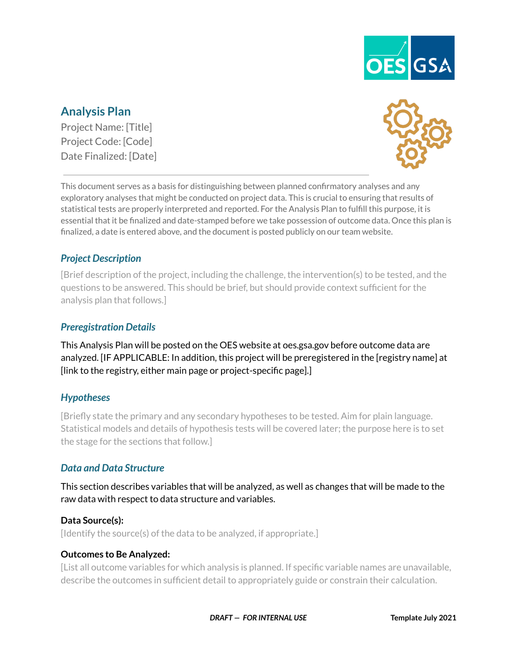

# **Analysis Plan**

Project Name: [Title] Project Code: [Code] Date Finalized: [Date]



This document serves as a basis for distinguishing between planned confirmatory analyses and any exploratory analyses that might be conducted on project data. This is crucial to ensuring that results of statistical tests are properly interpreted and reported. For the Analysis Plan to fulfill this purpose, it is essential that it be finalized and date-stamped before we take possession of outcome data. Once this plan is finalized, a date is entered above, and the document is posted publicly on our team website.

## *Project Description*

[Brief description of the project, including the challenge, the intervention(s) to be tested, and the questions to be answered. This should be brief, but should provide context sufficient for the analysis plan that follows.]

### *Preregistration Details*

This Analysis Plan will be posted on the OES website at oes.gsa.gov before outcome data are analyzed. [IF APPLICABLE: In addition, this project will be preregistered in the [registry name] at [link to the registry, either main page or project-specific page].]

#### *Hypotheses*

[Briefly state the primary and any secondary hypotheses to be tested. Aim for plain language. Statistical models and details of hypothesis tests will be covered later; the purpose here is to set the stage for the sections that follow.]

#### *Data and Data Structure*

This section describes variables that will be analyzed, as well as changes that will be made to the raw data with respect to data structure and variables.

#### **Data Source(s):**

[Identify the source(s) of the data to be analyzed, if appropriate.]

#### **Outcomes to Be Analyzed:**

[List all outcome variables for which analysis is planned. If specific variable names are unavailable, describe the outcomes in sufficient detail to appropriately guide or constrain their calculation.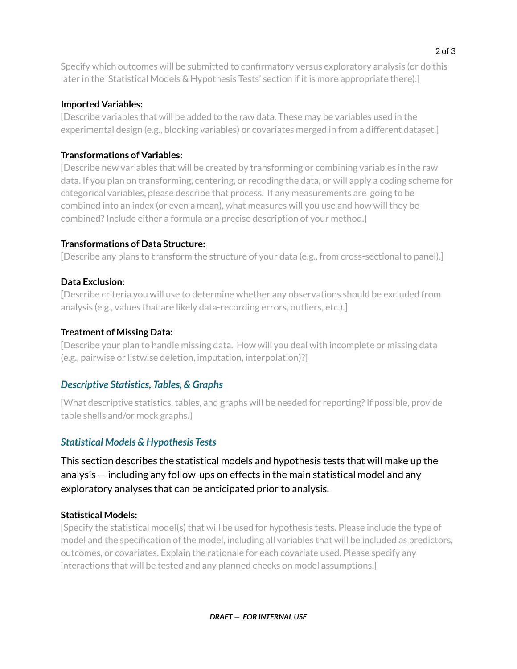Specify which outcomes will be submitted to confirmatory versus exploratory analysis (or do this later in the 'Statistical Models & Hypothesis Tests' section if it is more appropriate there).]

### **Imported Variables:**

[Describe variables that will be added to the raw data. These may be variables used in the experimental design (e.g., blocking variables) or covariates merged in from a different dataset.]

## **Transformations of Variables:**

[Describe new variables that will be created by transforming or combining variables in the raw data. If you plan on transforming, centering, or recoding the data, or will apply a coding scheme for categorical variables, please describe that process. If any measurements are going to be combined into an index (or even a mean), what measures will you use and how will they be combined? Include either a formula or a precise description of your method.]

## **Transformations of Data Structure:**

[Describe any plans to transform the structure of your data (e.g., from cross-sectional to panel).]

## **Data Exclusion:**

[Describe criteria you will use to determine whether any observations should be excluded from analysis (e.g., values that are likely data-recording errors, outliers, etc.).]

## **Treatment of Missing Data:**

[Describe your plan to handle missing data. How will you deal with incomplete or missing data (e.g., pairwise or listwise deletion, imputation, interpolation)?]

# *Descriptive Statistics, Tables, & Graphs*

[What descriptive statistics, tables, and graphs will be needed for reporting?If possible, provide table shells and/or mock graphs.]

# *Statistical Models & Hypothesis Tests*

This section describes the statistical models and hypothesis tests that will make up the analysis — including any follow-ups on effects in the main statistical model and any exploratory analyses that can be anticipated prior to analysis.

# **Statistical Models:**

[Specify the statistical model(s) that will be used for hypothesis tests. Please include the type of model and the specification of the model, including all variables that will be included as predictors, outcomes, or covariates. Explain the rationale for each covariate used. Please specify any interactions that will be tested and any planned checks on model assumptions.]